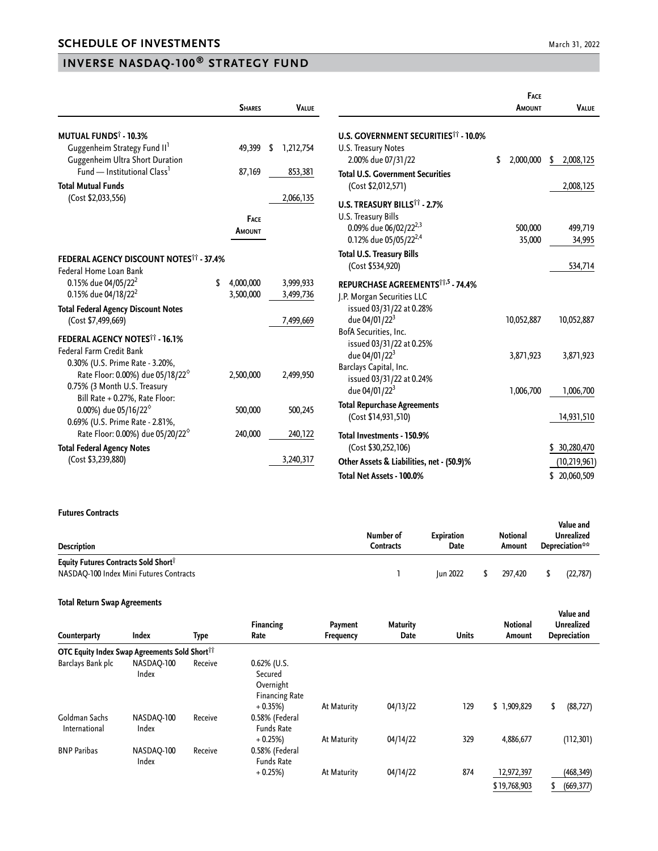## **INVERSE NASDAQ-100® STRATEGY FUND**

|                                                                              | <b>SHARES</b>   | <b>VALUE</b> |                                                        | FACE<br>AMOUNT  | <b>VALUE</b>   |
|------------------------------------------------------------------------------|-----------------|--------------|--------------------------------------------------------|-----------------|----------------|
| <b>MUTUAL FUNDS<sup>†</sup> - 10.3%</b>                                      |                 |              | <b>U.S. GOVERNMENT SECURITIES<sup>11</sup> - 10.0%</b> |                 |                |
| Guggenheim Strategy Fund II'                                                 | 49,399<br>\$    | 1,212,754    | U.S. Treasury Notes                                    |                 |                |
| Guggenheim Ultra Short Duration                                              |                 |              | 2.00% due 07/31/22                                     | 2,000,000<br>\$ | 2,008,125<br>S |
| Fund - Institutional Class <sup>1</sup>                                      | 87,169          | 853,381      | <b>Total U.S. Government Securities</b>                |                 |                |
| <b>Total Mutual Funds</b>                                                    |                 |              | (Cost \$2,012,571)                                     |                 | 2,008,125      |
| (Cost \$2,033,556)                                                           |                 | 2,066,135    |                                                        |                 |                |
|                                                                              |                 |              | U.S. TREASURY BILLS <sup>11</sup> - 2.7%               |                 |                |
|                                                                              | <b>FACE</b>     |              | U.S. Treasury Bills                                    |                 |                |
|                                                                              | Amount          |              | 0.09% due 06/02/22 <sup>2,3</sup>                      | 500,000         | 499,719        |
|                                                                              |                 |              | 0.12% due 05/05/22 <sup>2,4</sup>                      | 35,000          | 34,995         |
| FEDERAL AGENCY DISCOUNT NOTES <sup>11</sup> - 37.4%                          |                 |              | <b>Total U.S. Treasury Bills</b>                       |                 |                |
| Federal Home Loan Bank                                                       |                 |              | (Cost \$534,920)                                       |                 | 534,714        |
| 0.15% due 04/05/22 <sup>2</sup>                                              | \$<br>4,000,000 | 3,999,933    | REPURCHASE AGREEMENTS <sup>11,5</sup> - 74.4%          |                 |                |
| 0.15% due 04/18/22 <sup>2</sup>                                              | 3,500,000       | 3,499,736    | J.P. Morgan Securities LLC                             |                 |                |
| <b>Total Federal Agency Discount Notes</b>                                   |                 |              | issued 03/31/22 at 0.28%                               |                 |                |
| (Cost \$7,499,669)                                                           |                 | 7,499,669    | due 04/01/22 <sup>3</sup>                              | 10,052,887      | 10,052,887     |
|                                                                              |                 |              | BofA Securities, Inc.                                  |                 |                |
| <b>FEDERAL AGENCY NOTES<sup>11</sup> - 16.1%</b><br>Federal Farm Credit Bank |                 |              | issued 03/31/22 at 0.25%                               |                 |                |
| 0.30% (U.S. Prime Rate - 3.20%,                                              |                 |              | due 04/01/22 <sup>3</sup>                              | 3,871,923       | 3,871,923      |
| Rate Floor: 0.00%) due 05/18/22 <sup>6</sup>                                 | 2,500,000       | 2,499,950    | Barclays Capital, Inc.                                 |                 |                |
| 0.75% (3 Month U.S. Treasury                                                 |                 |              | issued 03/31/22 at 0.24%                               |                 |                |
| Bill Rate + 0.27%, Rate Floor:                                               |                 |              | due 04/01/22 <sup>3</sup>                              | 1,006,700       | 1,006,700      |
| 0.00%) due 05/16/22 <sup>6</sup>                                             | 500,000         | 500,245      | <b>Total Repurchase Agreements</b>                     |                 |                |
| 0.69% (U.S. Prime Rate - 2.81%,                                              |                 |              | (Cost \$14,931,510)                                    |                 | 14,931,510     |
| Rate Floor: 0.00%) due 05/20/22 <sup>6</sup>                                 | 240,000         | 240,122      | Total Investments - 150.9%                             |                 |                |
| <b>Total Federal Agency Notes</b>                                            |                 |              | (Cost \$30,252,106)                                    |                 | \$ 30,280,470  |
| (Cost \$3,239,880)                                                           |                 | 3,240,317    | Other Assets & Liabilities, net - (50.9)%              |                 | (10, 219, 961) |
|                                                                              |                 |              | Total Net Assets - 100.0%                              |                 | \$20,060,509   |
|                                                                              |                 |              |                                                        |                 |                |

## **Futures Contracts**

| Description                                                                                 | Number of<br>Contracts | <b>Expiration</b><br>Date | <b>Notional</b><br>Amount | Value and<br>Unrealized<br>Depreciation** |
|---------------------------------------------------------------------------------------------|------------------------|---------------------------|---------------------------|-------------------------------------------|
| Equity Futures Contracts Sold Short <sup>1</sup><br>NASDAQ-100 Index Mini Futures Contracts |                        | <b>Iun 2022</b>           | 297.420                   | (22, 787)                                 |

## **Total Return Swap Agreements**

| Counterparty                                              | Index               | Type    | <b>Financing</b><br>Rate                                     | Payment<br>Frequency | <b>Maturity</b><br>Date | <b>Units</b> | <b>Notional</b><br>Amount  | Value and<br><b>Unrealized</b><br>Depreciation |  |
|-----------------------------------------------------------|---------------------|---------|--------------------------------------------------------------|----------------------|-------------------------|--------------|----------------------------|------------------------------------------------|--|
| OTC Equity Index Swap Agreements Sold Short <sup>11</sup> |                     |         |                                                              |                      |                         |              |                            |                                                |  |
| Barclays Bank plc                                         | NASDAQ-100<br>Index | Receive | 0.62% (U.S.<br>Secured<br>Overnight<br><b>Financing Rate</b> |                      |                         |              |                            |                                                |  |
| Goldman Sachs<br>International                            | NASDAO-100<br>Index | Receive | $+0.35%$<br>0.58% (Federal<br><b>Funds Rate</b>              | At Maturity          | 04/13/22                | 129          | \$1,909,829                | (88, 727)<br>\$                                |  |
| <b>BNP Paribas</b>                                        | NASDAQ-100<br>Index | Receive | $+0.25%$<br>0.58% (Federal<br><b>Funds Rate</b>              | At Maturity          | 04/14/22                | 329          | 4,886,677                  | (112, 301)                                     |  |
|                                                           |                     |         | $+0.25%$                                                     | At Maturity          | 04/14/22                | 874          | 12,972,397<br>\$19,768,903 | (468, 349)<br>(669, 377)<br>S                  |  |